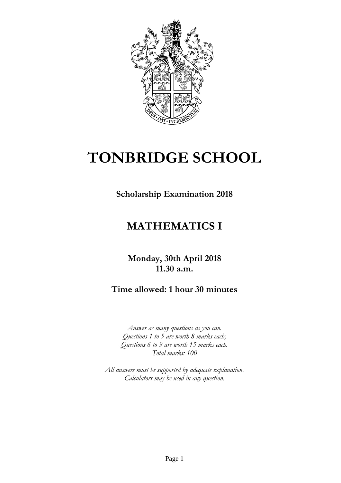

## **TONBRIDGE SCHOOL**

**Scholarship Examination 2018**

## **MATHEMATICS I**

**Monday, 30th April 2018 11.30 a.m.**

**Time allowed: 1 hour 30 minutes**

*Answer as many questions as you can. Questions 1 to 5 are worth 8 marks each; Questions 6 to 9 are worth 15 marks each. Total marks: 100*

*All answers must be supported by adequate explanation. Calculators may be used in any question.*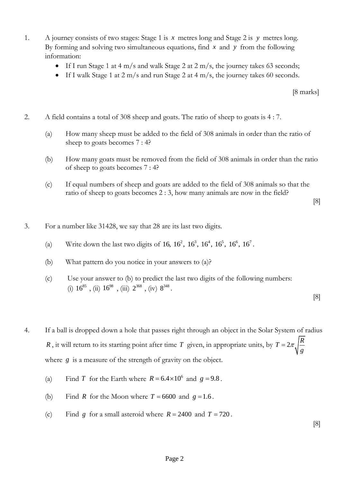- 1. A journey consists of two stages: Stage 1 is *x* metres long and Stage 2 is *y* metres long. By forming and solving two simultaneous equations, find *x* and *y* from the following information:
	- If I run Stage 1 at 4 m/s and walk Stage 2 at 2 m/s, the journey takes 63 seconds;
	- If I walk Stage 1 at 2 m/s and run Stage 2 at 4 m/s, the journey takes 60 seconds.

[8 marks]

- 2. A field contains a total of 308 sheep and goats. The ratio of sheep to goats is 4 : 7.
	- (a) How many sheep must be added to the field of 308 animals in order than the ratio of sheep to goats becomes 7 : 4?
	- (b) How many goats must be removed from the field of 308 animals in order than the ratio of sheep to goats becomes 7 : 4?
	- (c) If equal numbers of sheep and goats are added to the field of 308 animals so that the ratio of sheep to goats becomes 2 : 3, how many animals are now in the field?

[8]

- 3. For a number like 31428, we say that 28 are its last two digits.
	- (a) Write down the last two digits of  $16, 16^2, 16^3, 16^4, 16^5, 16^6, 16^7$ .
	- (b) What pattern do you notice in your answers to (a)?
	- (c) Use your answer to (b) to predict the last two digits of the following numbers: (i)  $16^{85}$ , (ii)  $16^{98}$ , (iii)  $2^{368}$ , (iv)  $8^{348}$ .

[8]

- 4. If a ball is dropped down a hole that passes right through an object in the Solar System of radius *R*, it will return to its starting point after time *T* given, in appropriate units, by  $T = 2\pi \sqrt{\frac{R}{n}}$ *g*  $=2\pi$ where *g* is a measure of the strength of gravity on the object.
	- (a) Find T for the Earth where  $R = 6.4 \times 10^6$  and  $g = 9.8$ .
	- (b) Find R for the Moon where  $T = 6600$  and  $g = 1.6$ .
	- (c) Find g for a small asteroid where  $R = 2400$  and  $T = 720$ .

[8]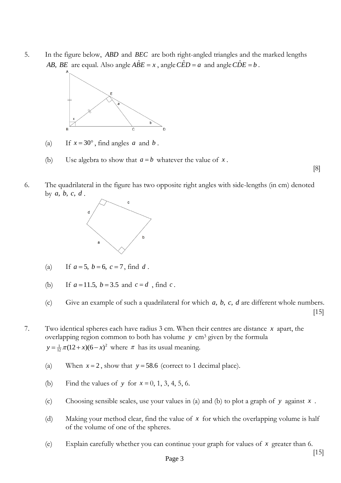5. In the figure below, *ABD* and *BEC* are both right-angled triangles and the marked lengths *AB*, *BE* are equal. Also angle  $\hat{ABE} = x$  , angle  $\hat{CED} = a$  and angle  $\hat{CDE} = b$  .



- (a) If  $x = 30^\circ$ , find angles *a* and *b*.
- (b) Use algebra to show that  $a = b$  whatever the value of x.
- 6. The quadrilateral in the figure has two opposite right angles with side-lengths (in cm) denoted by  $a, b, c, d$ .



- $(a)$  $a = 5$ ,  $b = 6$ ,  $c = 7$ , find d.
- $(b)$  $a = 11.5, b = 3.5 \text{ and } c = d$ , find *c*.
- (c) Give an example of such a quadrilateral for which  $a, b, c, d$  are different whole numbers. [15]
- 7. Two identical spheres each have radius 3 cm. When their centres are distance *x* apart, the overlapping region common to both has volume *y* cm<sup>3</sup> given by the formula  $y = \frac{1}{12} \pi (12 + x)(6 - x)^2$  where  $\pi$  has its usual meaning.
	- (a) When  $x = 2$ , show that  $y = 58.6$  (correct to 1 decimal place).
	- (b) Find the values of y for  $x = 0, 1, 3, 4, 5, 6$ .
	- (c) Choosing sensible scales, use your values in (a) and (b) to plot a graph of *y* against *x* .
	- (d) Making your method clear, find the value of *x* for which the overlapping volume is half of the volume of one of the spheres.
	- (e) Explain carefully whether you can continue your graph for values of *x* greater than 6.

[8]